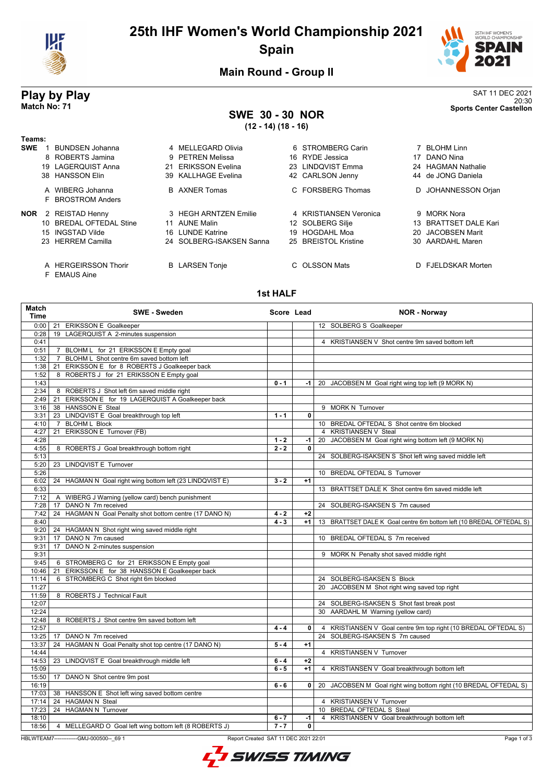

## **25th IHF Women's World Championship 2021 Spain**



20:30 **Match No: 71 Sports Center Castellon**

**Main Round - Group II**

# **Play by Play**<br>Match No: 71<br>Sports Center Castellon

## **SWE 30 - 30 NOR**

**(12 - 14) (18 - 16)**

| Teams:     |                                      |                          |                        |                       |
|------------|--------------------------------------|--------------------------|------------------------|-----------------------|
| <b>SWE</b> | <b>BUNDSEN Johanna</b>               | 4 MELLEGARD Olivia       | 6 STROMBERG Carin      | 7 BLOHM Linn          |
|            | 8 ROBERTS Jamina                     | 9 PETREN Melissa         | RYDE Jessica<br>16.    | DANO Nina<br>17       |
|            | <b>LAGEROUIST Anna</b><br>19         | 21 ERIKSSON Evelina      | LINDOVIST Emma<br>23.  | 24 HAGMAN Nathalie    |
|            | 38 HANSSON Elin                      | 39 KALLHAGE Evelina      | 42 CARLSON Jenny       | 44 de JONG Daniela    |
|            | A WIBERG Johanna                     | <b>B</b> AXNER Tomas     | C FORSBERG Thomas      | D JOHANNESSON Orjan   |
|            | F BROSTROM Anders                    |                          |                        |                       |
| <b>NOR</b> | 2 REISTAD Henny                      | 3 HEGH ARNTZEN Emilie    | 4 KRISTIANSEN Veronica | 9 MORK Nora           |
|            | 10 BREDAL OFTEDAL Stine              | 11 AUNE Malin            | 12 SOLBERG Silje       | 13 BRATTSET DALE Kari |
|            | 15 INGSTAD Vilde                     | LUNDE Katrine<br>16.     | 19 HOGDAHL Moa         | 20 JACOBSEN Marit     |
|            | 23 HERREM Camilla                    | 24 SOLBERG-ISAKSEN Sanna | 25 BREISTOL Kristine   | 30 AARDAHL Maren      |
|            | A HERGEIRSSON Thorir<br>F EMAUS Aine | <b>B</b> LARSEN Tonje    | C OLSSON Mats          | D FJELDSKAR Morten    |

#### **1st HALF**

| <b>Match</b><br><b>Time</b> | <b>SWE - Sweden</b>                                                   | Score Lead |                | <b>NOR - Norway</b>                                                 |
|-----------------------------|-----------------------------------------------------------------------|------------|----------------|---------------------------------------------------------------------|
|                             | 0:00   21 ERIKSSON E Goalkeeper                                       |            |                | 12 SOLBERG S Goalkeeper                                             |
| 0:28                        | 19 LAGERQUIST A 2-minutes suspension                                  |            |                |                                                                     |
| 0:41                        |                                                                       |            |                | 4 KRISTIANSEN V Shot centre 9m saved bottom left                    |
| 0:51                        | 7 BLOHM L for 21 ERIKSSON E Empty goal                                |            |                |                                                                     |
| 1:32                        | 7 BLOHM L Shot centre 6m saved bottom left                            |            |                |                                                                     |
| 1:38                        | ERIKSSON E for 8 ROBERTS J Goalkeeper back<br>21                      |            |                |                                                                     |
| 1:52                        | 8 ROBERTS J for 21 ERIKSSON E Empty goal                              |            |                |                                                                     |
| 1:43                        |                                                                       | $0 - 1$    |                | -1   20 JACOBSEN M Goal right wing top left (9 MORK N)              |
| 2:34                        | 8 ROBERTS J Shot left 6m saved middle right                           |            |                |                                                                     |
| 2:49                        | 21 ERIKSSON E for 19 LAGERQUIST A Goalkeeper back                     |            |                |                                                                     |
| 3:16                        | 38 HANSSON E Steal                                                    |            |                | 9 MORK N Turnover                                                   |
| 3:31                        | 23 LINDQVIST E Goal breakthrough top left                             | $1 - 1$    | $\overline{0}$ |                                                                     |
| 4:10                        | <b>BLOHM L Block</b><br>$\overline{7}$                                |            |                | 10 BREDAL OFTEDAL S Shot centre 6m blocked                          |
| 4:27                        | ERIKSSON E Turnover (FB)<br>21                                        |            |                | 4 KRISTIANSEN V Steal                                               |
| 4:28                        |                                                                       | $1 - 2$    | $-1$           | 20 JACOBSEN M Goal right wing bottom left (9 MORK N)                |
| 4:55                        | 8 ROBERTS J Goal breakthrough bottom right                            | $2 - 2$    | 0              |                                                                     |
| 5:13                        |                                                                       |            |                | 24 SOLBERG-ISAKSEN S Shot left wing saved middle left               |
| 5:20                        | 23 LINDQVIST E Turnover                                               |            |                |                                                                     |
| 5:26                        |                                                                       |            |                | 10 BREDAL OFTEDAL S Turnover                                        |
| 6:02                        | 24 HAGMAN N Goal right wing bottom left (23 LINDQVIST E)              | $3 - 2$    | $+1$           |                                                                     |
| 6:33                        |                                                                       |            |                | 13 BRATTSET DALE K Shot centre 6m saved middle left                 |
| 7:12                        | A WIBERG J Warning (yellow card) bench punishment                     |            |                |                                                                     |
| 7:28                        | 17 DANO N 7m received                                                 |            |                | 24 SOLBERG-ISAKSEN S 7m caused                                      |
| 7:42                        | 24 HAGMAN N Goal Penalty shot bottom centre (17 DANO N)               | $4 - 2$    | $+2$           |                                                                     |
| 8:40                        |                                                                       | $4 - 3$    | $+1$           | 13 BRATTSET DALE K Goal centre 6m bottom left (10 BREDAL OFTEDAL S) |
| 9:20<br>9:31                | 24 HAGMAN N Shot right wing saved middle right<br>17 DANO N 7m caused |            |                | 10 BREDAL OFTEDAL S 7m received                                     |
|                             | 17 DANO N 2-minutes suspension                                        |            |                |                                                                     |
| 9:31<br>9:31                |                                                                       |            |                |                                                                     |
| 9:45                        | 6 STROMBERG C for 21 ERIKSSON E Empty goal                            |            |                | 9 MORK N Penalty shot saved middle right                            |
| 10:46                       | 21 ERIKSSON E for 38 HANSSON E Goalkeeper back                        |            |                |                                                                     |
| 11:14                       | 6 STROMBERG C Shot right 6m blocked                                   |            |                | 24 SOLBERG-ISAKSEN S Block                                          |
| 11:27                       |                                                                       |            |                | 20 JACOBSEN M Shot right wing saved top right                       |
| 11:59                       | 8 ROBERTS J Technical Fault                                           |            |                |                                                                     |
| 12:07                       |                                                                       |            |                | 24 SOLBERG-ISAKSEN S Shot fast break post                           |
| 12:24                       |                                                                       |            |                | 30 AARDAHL M Warning (yellow card)                                  |
| 12:48                       | 8 ROBERTS J Shot centre 9m saved bottom left                          |            |                |                                                                     |
| 12:57                       |                                                                       | $4 - 4$    | $\overline{0}$ | 4 KRISTIANSEN V Goal centre 9m top right (10 BREDAL OFTEDAL S)      |
| 13:25                       | 17 DANO N 7m received                                                 |            |                | 24 SOLBERG-ISAKSEN S 7m caused                                      |
| 13:37                       | 24 HAGMAN N Goal Penalty shot top centre (17 DANO N)                  | $5 - 4$    | $+1$           |                                                                     |
| 14:44                       |                                                                       |            |                | 4 KRISTIANSEN V Turnover                                            |
| 14:53                       | 23 LINDQVIST E Goal breakthrough middle left                          | $6 - 4$    | $+2$           |                                                                     |
| 15:09                       |                                                                       | $6 - 5$    | $+1$           | 4 KRISTIANSEN V Goal breakthrough bottom left                       |
| 15:50                       | 17 DANO N Shot centre 9m post                                         |            |                |                                                                     |
| 16:19                       |                                                                       | $6 - 6$    | $\mathbf{0}$   | 20 JACOBSEN M Goal right wing bottom right (10 BREDAL OFTEDAL S)    |
|                             | 17:03   38 HANSSON E Shot left wing saved bottom centre               |            |                |                                                                     |
| 17:14                       | 24 HAGMAN N Steal                                                     |            |                | 4 KRISTIANSEN V Turnover                                            |
| 17:23                       | 24 HAGMAN N Turnover                                                  |            |                | 10 BREDAL OFTEDAL S Steal                                           |
| 18:10                       |                                                                       | $6 - 7$    | $-1$           | 4 KRISTIANSEN V Goal breakthrough bottom left                       |
| 18:56                       | 4 MELLEGARD O Goal left wing bottom left (8 ROBERTS J)                | $7 - 7$    | 0              |                                                                     |
|                             |                                                                       |            |                |                                                                     |

HBLWTEAM7-------------GMJ-000500--\_69 1 Report Created SAT 11 DEC 2021 22:01

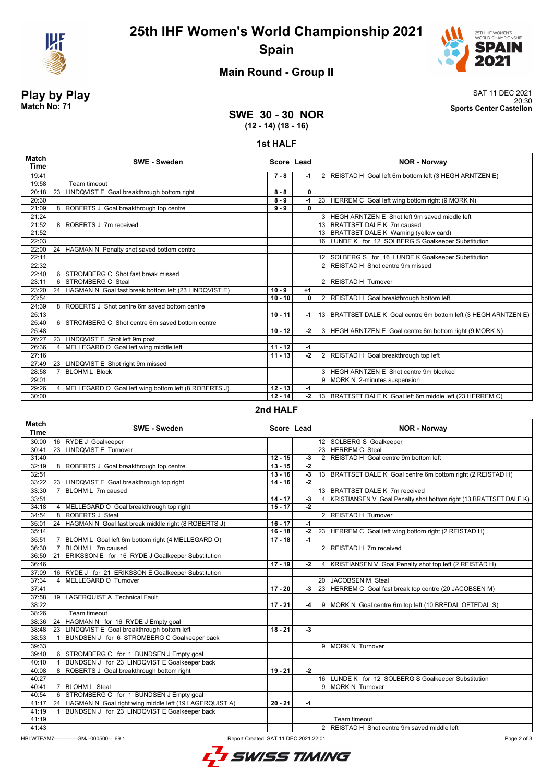



### **Main Round - Group II**

**Play by Play**<br>Match No: 71<br>Sports Center Castellon 20:30 **Match No: 71 Sports Center Castellon**

#### **SWE 30 - 30 NOR (12 - 14) (18 - 16)**

#### **1st HALF**

| <b>Match</b><br><b>Time</b> | <b>SWE - Sweden</b>                                       | Score Lead |              | <b>NOR - Norway</b>                                              |
|-----------------------------|-----------------------------------------------------------|------------|--------------|------------------------------------------------------------------|
| 19:41                       |                                                           | $7 - 8$    | $-1$         | 2 REISTAD H Goal left 6m bottom left (3 HEGH ARNTZEN E)          |
| 19:58                       | Team timeout                                              |            |              |                                                                  |
| 20:18                       | 23<br>LINDQVIST E Goal breakthrough bottom right          | $8 - 8$    | $\mathbf{0}$ |                                                                  |
| 20:30                       |                                                           | $8 - 9$    | -1           | 23 HERREM C Goal left wing bottom right (9 MORK N)               |
| 21:09                       | 8 ROBERTS J Goal breakthrough top centre                  | $9 - 9$    | $\mathbf{0}$ |                                                                  |
| 21:24                       |                                                           |            |              | 3 HEGH ARNTZEN E Shot left 9m saved middle left                  |
| 21:52                       | 8 ROBERTS J 7m received                                   |            |              | 13 BRATTSET DALE K 7m caused                                     |
| 21:52                       |                                                           |            |              | 13 BRATTSET DALE K Warning (yellow card)                         |
| 22:03                       |                                                           |            |              | 16 LUNDE K for 12 SOLBERG S Goalkeeper Substitution              |
| 22:00                       | 24 HAGMAN N Penalty shot saved bottom centre              |            |              |                                                                  |
| 22:11                       |                                                           |            |              | 12 SOLBERG S for 16 LUNDE K Goalkeeper Substitution              |
| 22:32                       |                                                           |            |              | 2 REISTAD H Shot centre 9m missed                                |
| 22:40                       | 6 STROMBERG C Shot fast break missed                      |            |              |                                                                  |
| 23:11                       | 6 STROMBERG C Steal                                       |            |              | 2 REISTAD H Turnover                                             |
| 23:20                       | 24 HAGMAN N Goal fast break bottom left (23 LINDQVIST E)  | $10 - 9$   | $+1$         |                                                                  |
| 23:54                       |                                                           | $10 - 10$  | $\mathbf{0}$ | 2 REISTAD H Goal breakthrough bottom left                        |
| 24:39                       | 8 ROBERTS J Shot centre 6m saved bottom centre            |            |              |                                                                  |
| 25:13                       |                                                           | $10 - 11$  | -1           | 13 BRATTSET DALE K Goal centre 6m bottom left (3 HEGH ARNTZEN E) |
| 25:40                       | 6 STROMBERG C Shot centre 6m saved bottom centre          |            |              |                                                                  |
| 25:48                       |                                                           | $10 - 12$  | $-2$         | 3 HEGH ARNTZEN E Goal centre 6m bottom right (9 MORK N)          |
| 26:27                       | 23 LINDQVIST E Shot left 9m post                          |            |              |                                                                  |
| 26:36                       | MELLEGARD O Goal left wing middle left                    | $11 - 12$  | $-1$         |                                                                  |
| 27:16                       |                                                           | $11 - 13$  | $-2$         | 2 REISTAD H Goal breakthrough top left                           |
| 27:49                       | 23 LINDQVIST E Shot right 9m missed                       |            |              |                                                                  |
| 28:58                       | <b>BLOHM L Block</b>                                      |            |              | 3 HEGH ARNTZEN E Shot centre 9m blocked                          |
| 29:01                       |                                                           |            |              | 9 MORK N 2-minutes suspension                                    |
| 29:26                       | MELLEGARD O Goal left wing bottom left (8 ROBERTS J)<br>4 | $12 - 13$  | $-1$         |                                                                  |
| 30:00                       |                                                           | $12 - 14$  | -2 l         | 13 BRATTSET DALE K Goal left 6m middle left (23 HERREM C)        |

#### **2nd HALF**

| <b>Match</b><br><b>Time</b>                                                                     | <b>SWE - Sweden</b>                                            | Score Lead |                | <b>NOR - Norway</b>                                                 |
|-------------------------------------------------------------------------------------------------|----------------------------------------------------------------|------------|----------------|---------------------------------------------------------------------|
| 30:00                                                                                           | 16 RYDE J Goalkeeper                                           |            |                | 12 SOLBERG S Goalkeeper                                             |
| 30:41                                                                                           | 23 LINDQVIST E Turnover                                        |            |                | 23 HERREM C Steal                                                   |
| 31:40                                                                                           |                                                                | $12 - 15$  | $-3$           | 2 REISTAD H Goal centre 9m bottom left                              |
| 32:19                                                                                           | 8 ROBERTS J Goal breakthrough top centre                       | $13 - 15$  | $-2$           |                                                                     |
| 32:51                                                                                           |                                                                | $13 - 16$  | $-3$           | 13 BRATTSET DALE K Goal centre 6m bottom right (2 REISTAD H)        |
| 33:22                                                                                           | 23 LINDQVIST E Goal breakthrough top right                     | $14 - 16$  | $\overline{2}$ |                                                                     |
| 33:30                                                                                           | BLOHM L 7m caused<br>$\overline{7}$                            |            |                | 13 BRATTSET DALE K 7m received                                      |
| 33:51                                                                                           |                                                                | $14 - 17$  | -3             | 4 KRISTIANSEN V Goal Penalty shot bottom right (13 BRATTSET DALE K) |
| 34:18                                                                                           | 4 MELLEGARD O Goal breakthrough top right                      | $15 - 17$  | $-2$           |                                                                     |
| 34:54                                                                                           | 8 ROBERTS J Steal                                              |            |                | 2 REISTAD H Turnover                                                |
| 35:01                                                                                           | 24 HAGMAN N Goal fast break middle right (8 ROBERTS J)         | $16 - 17$  | $-1$           |                                                                     |
| 35:14                                                                                           |                                                                | $16 - 18$  | $-2$           | 23 HERREM C Goal left wing bottom right (2 REISTAD H)               |
| 35:51                                                                                           | BLOHM L Goal left 6m bottom right (4 MELLEGARD O)<br>7         | $17 - 18$  | $-1$           |                                                                     |
| 36:30                                                                                           | BLOHM L 7m caused<br>$\overline{7}$                            |            |                | 2 REISTAD H 7m received                                             |
| 36:50                                                                                           | ERIKSSON E for 16 RYDE J Goalkeeper Substitution<br>21         |            |                |                                                                     |
| 36:46                                                                                           |                                                                | $17 - 19$  | -2             | 4 KRISTIANSEN V Goal Penalty shot top left (2 REISTAD H)            |
| 37:09                                                                                           | 16 RYDE J for 21 ERIKSSON E Goalkeeper Substitution            |            |                |                                                                     |
| 37:34                                                                                           | 4 MELLEGARD O Turnover                                         |            |                | 20 JACOBSEN M Steal                                                 |
| 37:41                                                                                           |                                                                | $17 - 20$  | -3             | 23 HERREM C Goal fast break top centre (20 JACOBSEN M)              |
| 37:58                                                                                           | 19 LAGERQUIST A Technical Fault                                |            |                |                                                                     |
| 38:22                                                                                           |                                                                | $17 - 21$  | -4             | 9 MORK N Goal centre 6m top left (10 BREDAL OFTEDAL S)              |
| 38:26                                                                                           | Team timeout                                                   |            |                |                                                                     |
| 38:36                                                                                           | 24 HAGMAN N for 16 RYDE J Empty goal                           |            |                |                                                                     |
| 38:48                                                                                           | 23 LINDQVIST E Goal breakthrough bottom left                   | $18 - 21$  | $-3$           |                                                                     |
| 38:53                                                                                           | BUNDSEN J for 6 STROMBERG C Goalkeeper back<br>$\mathbf{1}$    |            |                |                                                                     |
| 39:33                                                                                           |                                                                |            |                | 9 MORK N Turnover                                                   |
| 39:40                                                                                           | 6 STROMBERG C for 1 BUNDSEN J Empty goal                       |            |                |                                                                     |
| 40:10                                                                                           | BUNDSEN J for 23 LINDQVIST E Goalkeeper back<br>$\overline{1}$ |            |                |                                                                     |
| 40:08                                                                                           | 8 ROBERTS J Goal breakthrough bottom right                     | $19 - 21$  | $-2$           |                                                                     |
| 40:27                                                                                           |                                                                |            |                | 16 LUNDE K for 12 SOLBERG S Goalkeeper Substitution                 |
| 40:41                                                                                           | 7 BLOHM L Steal                                                |            |                | 9 MORK N Turnover                                                   |
| 40:54                                                                                           | 6 STROMBERG C for 1 BUNDSEN J Empty goal                       |            |                |                                                                     |
| 41:17                                                                                           | 24 HAGMAN N Goal right wing middle left (19 LAGERQUIST A)      | $20 - 21$  | $-1$           |                                                                     |
| 41:19                                                                                           | BUNDSEN J for 23 LINDQVIST E Goalkeeper back<br>$\overline{1}$ |            |                |                                                                     |
| 41:19                                                                                           |                                                                |            |                | Team timeout                                                        |
| 41:43                                                                                           |                                                                |            |                | 2 REISTAD H Shot centre 9m saved middle left                        |
| HBLWTEAM7--------------GMJ-000500-- 69 1<br>Report Created SAT 11 DEC 2021 22:01<br>Page 2 of 3 |                                                                |            |                |                                                                     |